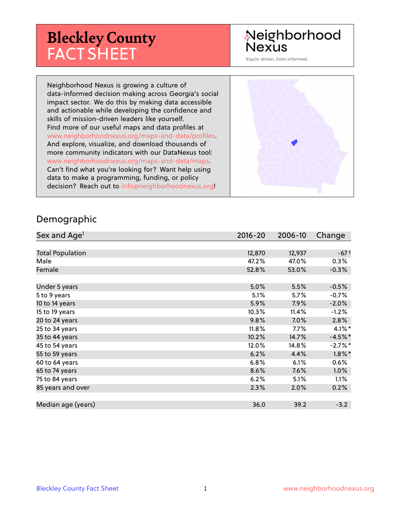# **Bleckley County** FACT SHEET

## Neighborhood **Nexus**

Equity driven. Data informed.

Neighborhood Nexus is growing a culture of data-informed decision making across Georgia's social impact sector. We do this by making data accessible and actionable while developing the confidence and skills of mission-driven leaders like yourself. Find more of our useful maps and data profiles at www.neighborhoodnexus.org/maps-and-data/profiles. And explore, visualize, and download thousands of more community indicators with our DataNexus tool: www.neighborhoodnexus.org/maps-and-data/maps. Can't find what you're looking for? Want help using data to make a programming, funding, or policy decision? Reach out to [info@neighborhoodnexus.org!](mailto:info@neighborhoodnexus.org)



#### Demographic

| Sex and Age <sup>1</sup> | $2016 - 20$ | 2006-10 | Change    |
|--------------------------|-------------|---------|-----------|
|                          |             |         |           |
| <b>Total Population</b>  | 12,870      | 12,937  | $-67+$    |
| Male                     | 47.2%       | 47.0%   | 0.3%      |
| Female                   | 52.8%       | 53.0%   | $-0.3%$   |
|                          |             |         |           |
| Under 5 years            | 5.0%        | 5.5%    | $-0.5%$   |
| 5 to 9 years             | 5.1%        | 5.7%    | $-0.7\%$  |
| 10 to 14 years           | 5.9%        | 7.9%    | $-2.0\%$  |
| 15 to 19 years           | 10.3%       | 11.4%   | $-1.2%$   |
| 20 to 24 years           | 9.8%        | 7.0%    | 2.8%      |
| 25 to 34 years           | 11.8%       | $7.7\%$ | $4.1\%$ * |
| 35 to 44 years           | 10.2%       | 14.7%   | $-4.5%$ * |
| 45 to 54 years           | 12.0%       | 14.8%   | $-2.7%$ * |
| 55 to 59 years           | 6.2%        | 4.4%    | $1.8\%$ * |
| 60 to 64 years           | 6.8%        | 6.1%    | 0.6%      |
| 65 to 74 years           | 8.6%        | 7.6%    | $1.0\%$   |
| 75 to 84 years           | 6.2%        | 5.1%    | $1.1\%$   |
| 85 years and over        | 2.3%        | 2.0%    | 0.2%      |
|                          |             |         |           |
| Median age (years)       | 36.0        | 39.2    | $-3.2$    |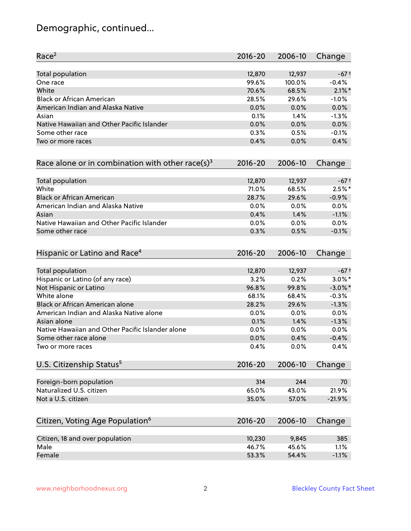# Demographic, continued...

| <b>Total population</b><br>12,870<br>12,937<br>$-67+$<br>99.6%<br>100.0%<br>$-0.4%$<br>70.6%<br>$2.1\%$ *<br>68.5%<br><b>Black or African American</b><br>28.5%<br>29.6%<br>$-1.0%$<br>0.0%<br>0.0%<br>0.0%<br>0.1%<br>1.4%<br>$-1.3%$<br>Asian<br>Native Hawaiian and Other Pacific Islander<br>0.0%<br>0.0%<br>0.0%<br>Some other race<br>0.3%<br>0.5%<br>$-0.1%$<br>0.4%<br>0.4%<br>0.0%<br>Two or more races<br>$2016 - 20$<br>2006-10<br>Change<br>12,870<br>Total population<br>12,937<br>$-67+$<br>White<br>68.5%<br>$2.5%$ *<br>71.0%<br><b>Black or African American</b><br>$-0.9%$<br>28.7%<br>29.6%<br>American Indian and Alaska Native<br>0.0%<br>0.0%<br>0.0%<br>0.4%<br>1.4%<br>$-1.1%$<br>Asian<br>Native Hawaiian and Other Pacific Islander<br>0.0%<br>0.0%<br>0.0%<br>0.3%<br>0.5%<br>$-0.1%$<br>$2016 - 20$<br>2006-10<br>Change<br><b>Total population</b><br>12,870<br>12,937<br>$-67+$<br>3.2%<br>0.2%<br>$3.0\%$ *<br>Hispanic or Latino (of any race)<br>Not Hispanic or Latino<br>96.8%<br>99.8%<br>$-3.0\%$ *<br>68.1%<br>68.4%<br>$-0.3%$<br>Black or African American alone<br>28.2%<br>29.6%<br>$-1.3%$<br>American Indian and Alaska Native alone<br>0.0%<br>0.0%<br>0.0%<br>0.1%<br>1.4%<br>$-1.3%$<br>Native Hawaiian and Other Pacific Islander alone<br>0.0%<br>0.0%<br>0.0%<br>0.0%<br>0.4%<br>$-0.4%$<br>Some other race alone<br>0.4%<br>0.4%<br>0.0%<br>Two or more races<br>$2016 - 20$<br>2006-10<br>Change<br>Foreign-born population<br>314<br>244<br>70<br>Naturalized U.S. citizen<br>43.0%<br>21.9%<br>65.0%<br>$-21.9%$<br>35.0%<br>57.0%<br>$2016 - 20$<br>2006-10<br>Change<br>Citizen, 18 and over population<br>385<br>10,230<br>9,845<br>45.6%<br>Male<br>46.7%<br>1.1%<br>Female<br>53.3%<br>54.4%<br>$-1.1%$ | Race <sup>2</sup>                                            | 2016-20 | 2006-10 | Change |
|--------------------------------------------------------------------------------------------------------------------------------------------------------------------------------------------------------------------------------------------------------------------------------------------------------------------------------------------------------------------------------------------------------------------------------------------------------------------------------------------------------------------------------------------------------------------------------------------------------------------------------------------------------------------------------------------------------------------------------------------------------------------------------------------------------------------------------------------------------------------------------------------------------------------------------------------------------------------------------------------------------------------------------------------------------------------------------------------------------------------------------------------------------------------------------------------------------------------------------------------------------------------------------------------------------------------------------------------------------------------------------------------------------------------------------------------------------------------------------------------------------------------------------------------------------------------------------------------------------------------------------------------------------------------------------------------------------------------------------------------------------------------|--------------------------------------------------------------|---------|---------|--------|
|                                                                                                                                                                                                                                                                                                                                                                                                                                                                                                                                                                                                                                                                                                                                                                                                                                                                                                                                                                                                                                                                                                                                                                                                                                                                                                                                                                                                                                                                                                                                                                                                                                                                                                                                                                    |                                                              |         |         |        |
|                                                                                                                                                                                                                                                                                                                                                                                                                                                                                                                                                                                                                                                                                                                                                                                                                                                                                                                                                                                                                                                                                                                                                                                                                                                                                                                                                                                                                                                                                                                                                                                                                                                                                                                                                                    | One race                                                     |         |         |        |
|                                                                                                                                                                                                                                                                                                                                                                                                                                                                                                                                                                                                                                                                                                                                                                                                                                                                                                                                                                                                                                                                                                                                                                                                                                                                                                                                                                                                                                                                                                                                                                                                                                                                                                                                                                    | White                                                        |         |         |        |
|                                                                                                                                                                                                                                                                                                                                                                                                                                                                                                                                                                                                                                                                                                                                                                                                                                                                                                                                                                                                                                                                                                                                                                                                                                                                                                                                                                                                                                                                                                                                                                                                                                                                                                                                                                    |                                                              |         |         |        |
|                                                                                                                                                                                                                                                                                                                                                                                                                                                                                                                                                                                                                                                                                                                                                                                                                                                                                                                                                                                                                                                                                                                                                                                                                                                                                                                                                                                                                                                                                                                                                                                                                                                                                                                                                                    | American Indian and Alaska Native                            |         |         |        |
|                                                                                                                                                                                                                                                                                                                                                                                                                                                                                                                                                                                                                                                                                                                                                                                                                                                                                                                                                                                                                                                                                                                                                                                                                                                                                                                                                                                                                                                                                                                                                                                                                                                                                                                                                                    |                                                              |         |         |        |
|                                                                                                                                                                                                                                                                                                                                                                                                                                                                                                                                                                                                                                                                                                                                                                                                                                                                                                                                                                                                                                                                                                                                                                                                                                                                                                                                                                                                                                                                                                                                                                                                                                                                                                                                                                    |                                                              |         |         |        |
|                                                                                                                                                                                                                                                                                                                                                                                                                                                                                                                                                                                                                                                                                                                                                                                                                                                                                                                                                                                                                                                                                                                                                                                                                                                                                                                                                                                                                                                                                                                                                                                                                                                                                                                                                                    |                                                              |         |         |        |
|                                                                                                                                                                                                                                                                                                                                                                                                                                                                                                                                                                                                                                                                                                                                                                                                                                                                                                                                                                                                                                                                                                                                                                                                                                                                                                                                                                                                                                                                                                                                                                                                                                                                                                                                                                    |                                                              |         |         |        |
|                                                                                                                                                                                                                                                                                                                                                                                                                                                                                                                                                                                                                                                                                                                                                                                                                                                                                                                                                                                                                                                                                                                                                                                                                                                                                                                                                                                                                                                                                                                                                                                                                                                                                                                                                                    | Race alone or in combination with other race(s) <sup>3</sup> |         |         |        |
|                                                                                                                                                                                                                                                                                                                                                                                                                                                                                                                                                                                                                                                                                                                                                                                                                                                                                                                                                                                                                                                                                                                                                                                                                                                                                                                                                                                                                                                                                                                                                                                                                                                                                                                                                                    |                                                              |         |         |        |
|                                                                                                                                                                                                                                                                                                                                                                                                                                                                                                                                                                                                                                                                                                                                                                                                                                                                                                                                                                                                                                                                                                                                                                                                                                                                                                                                                                                                                                                                                                                                                                                                                                                                                                                                                                    |                                                              |         |         |        |
|                                                                                                                                                                                                                                                                                                                                                                                                                                                                                                                                                                                                                                                                                                                                                                                                                                                                                                                                                                                                                                                                                                                                                                                                                                                                                                                                                                                                                                                                                                                                                                                                                                                                                                                                                                    |                                                              |         |         |        |
|                                                                                                                                                                                                                                                                                                                                                                                                                                                                                                                                                                                                                                                                                                                                                                                                                                                                                                                                                                                                                                                                                                                                                                                                                                                                                                                                                                                                                                                                                                                                                                                                                                                                                                                                                                    |                                                              |         |         |        |
|                                                                                                                                                                                                                                                                                                                                                                                                                                                                                                                                                                                                                                                                                                                                                                                                                                                                                                                                                                                                                                                                                                                                                                                                                                                                                                                                                                                                                                                                                                                                                                                                                                                                                                                                                                    |                                                              |         |         |        |
|                                                                                                                                                                                                                                                                                                                                                                                                                                                                                                                                                                                                                                                                                                                                                                                                                                                                                                                                                                                                                                                                                                                                                                                                                                                                                                                                                                                                                                                                                                                                                                                                                                                                                                                                                                    |                                                              |         |         |        |
|                                                                                                                                                                                                                                                                                                                                                                                                                                                                                                                                                                                                                                                                                                                                                                                                                                                                                                                                                                                                                                                                                                                                                                                                                                                                                                                                                                                                                                                                                                                                                                                                                                                                                                                                                                    | Some other race                                              |         |         |        |
|                                                                                                                                                                                                                                                                                                                                                                                                                                                                                                                                                                                                                                                                                                                                                                                                                                                                                                                                                                                                                                                                                                                                                                                                                                                                                                                                                                                                                                                                                                                                                                                                                                                                                                                                                                    | Hispanic or Latino and Race <sup>4</sup>                     |         |         |        |
|                                                                                                                                                                                                                                                                                                                                                                                                                                                                                                                                                                                                                                                                                                                                                                                                                                                                                                                                                                                                                                                                                                                                                                                                                                                                                                                                                                                                                                                                                                                                                                                                                                                                                                                                                                    |                                                              |         |         |        |
|                                                                                                                                                                                                                                                                                                                                                                                                                                                                                                                                                                                                                                                                                                                                                                                                                                                                                                                                                                                                                                                                                                                                                                                                                                                                                                                                                                                                                                                                                                                                                                                                                                                                                                                                                                    |                                                              |         |         |        |
|                                                                                                                                                                                                                                                                                                                                                                                                                                                                                                                                                                                                                                                                                                                                                                                                                                                                                                                                                                                                                                                                                                                                                                                                                                                                                                                                                                                                                                                                                                                                                                                                                                                                                                                                                                    |                                                              |         |         |        |
|                                                                                                                                                                                                                                                                                                                                                                                                                                                                                                                                                                                                                                                                                                                                                                                                                                                                                                                                                                                                                                                                                                                                                                                                                                                                                                                                                                                                                                                                                                                                                                                                                                                                                                                                                                    | White alone                                                  |         |         |        |
|                                                                                                                                                                                                                                                                                                                                                                                                                                                                                                                                                                                                                                                                                                                                                                                                                                                                                                                                                                                                                                                                                                                                                                                                                                                                                                                                                                                                                                                                                                                                                                                                                                                                                                                                                                    |                                                              |         |         |        |
|                                                                                                                                                                                                                                                                                                                                                                                                                                                                                                                                                                                                                                                                                                                                                                                                                                                                                                                                                                                                                                                                                                                                                                                                                                                                                                                                                                                                                                                                                                                                                                                                                                                                                                                                                                    |                                                              |         |         |        |
|                                                                                                                                                                                                                                                                                                                                                                                                                                                                                                                                                                                                                                                                                                                                                                                                                                                                                                                                                                                                                                                                                                                                                                                                                                                                                                                                                                                                                                                                                                                                                                                                                                                                                                                                                                    | Asian alone                                                  |         |         |        |
|                                                                                                                                                                                                                                                                                                                                                                                                                                                                                                                                                                                                                                                                                                                                                                                                                                                                                                                                                                                                                                                                                                                                                                                                                                                                                                                                                                                                                                                                                                                                                                                                                                                                                                                                                                    |                                                              |         |         |        |
|                                                                                                                                                                                                                                                                                                                                                                                                                                                                                                                                                                                                                                                                                                                                                                                                                                                                                                                                                                                                                                                                                                                                                                                                                                                                                                                                                                                                                                                                                                                                                                                                                                                                                                                                                                    |                                                              |         |         |        |
|                                                                                                                                                                                                                                                                                                                                                                                                                                                                                                                                                                                                                                                                                                                                                                                                                                                                                                                                                                                                                                                                                                                                                                                                                                                                                                                                                                                                                                                                                                                                                                                                                                                                                                                                                                    |                                                              |         |         |        |
|                                                                                                                                                                                                                                                                                                                                                                                                                                                                                                                                                                                                                                                                                                                                                                                                                                                                                                                                                                                                                                                                                                                                                                                                                                                                                                                                                                                                                                                                                                                                                                                                                                                                                                                                                                    | U.S. Citizenship Status <sup>5</sup>                         |         |         |        |
|                                                                                                                                                                                                                                                                                                                                                                                                                                                                                                                                                                                                                                                                                                                                                                                                                                                                                                                                                                                                                                                                                                                                                                                                                                                                                                                                                                                                                                                                                                                                                                                                                                                                                                                                                                    |                                                              |         |         |        |
|                                                                                                                                                                                                                                                                                                                                                                                                                                                                                                                                                                                                                                                                                                                                                                                                                                                                                                                                                                                                                                                                                                                                                                                                                                                                                                                                                                                                                                                                                                                                                                                                                                                                                                                                                                    |                                                              |         |         |        |
|                                                                                                                                                                                                                                                                                                                                                                                                                                                                                                                                                                                                                                                                                                                                                                                                                                                                                                                                                                                                                                                                                                                                                                                                                                                                                                                                                                                                                                                                                                                                                                                                                                                                                                                                                                    | Not a U.S. citizen                                           |         |         |        |
|                                                                                                                                                                                                                                                                                                                                                                                                                                                                                                                                                                                                                                                                                                                                                                                                                                                                                                                                                                                                                                                                                                                                                                                                                                                                                                                                                                                                                                                                                                                                                                                                                                                                                                                                                                    |                                                              |         |         |        |
|                                                                                                                                                                                                                                                                                                                                                                                                                                                                                                                                                                                                                                                                                                                                                                                                                                                                                                                                                                                                                                                                                                                                                                                                                                                                                                                                                                                                                                                                                                                                                                                                                                                                                                                                                                    | Citizen, Voting Age Population <sup>6</sup>                  |         |         |        |
|                                                                                                                                                                                                                                                                                                                                                                                                                                                                                                                                                                                                                                                                                                                                                                                                                                                                                                                                                                                                                                                                                                                                                                                                                                                                                                                                                                                                                                                                                                                                                                                                                                                                                                                                                                    |                                                              |         |         |        |
|                                                                                                                                                                                                                                                                                                                                                                                                                                                                                                                                                                                                                                                                                                                                                                                                                                                                                                                                                                                                                                                                                                                                                                                                                                                                                                                                                                                                                                                                                                                                                                                                                                                                                                                                                                    |                                                              |         |         |        |
|                                                                                                                                                                                                                                                                                                                                                                                                                                                                                                                                                                                                                                                                                                                                                                                                                                                                                                                                                                                                                                                                                                                                                                                                                                                                                                                                                                                                                                                                                                                                                                                                                                                                                                                                                                    |                                                              |         |         |        |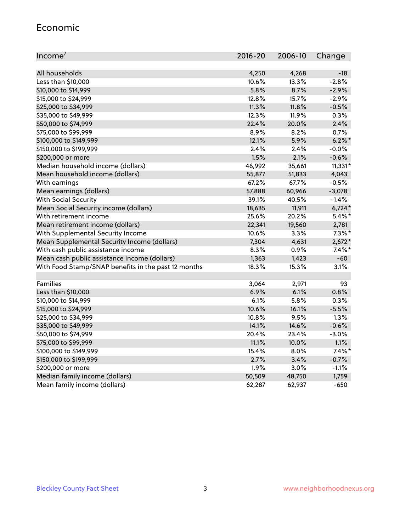#### Economic

| Income <sup>7</sup>                                 | $2016 - 20$ | 2006-10 | Change    |
|-----------------------------------------------------|-------------|---------|-----------|
|                                                     |             |         |           |
| All households                                      | 4,250       | 4,268   | $-18$     |
| Less than \$10,000                                  | 10.6%       | 13.3%   | $-2.8%$   |
| \$10,000 to \$14,999                                | 5.8%        | 8.7%    | $-2.9%$   |
| \$15,000 to \$24,999                                | 12.8%       | 15.7%   | $-2.9%$   |
| \$25,000 to \$34,999                                | 11.3%       | 11.8%   | $-0.5%$   |
| \$35,000 to \$49,999                                | 12.3%       | 11.9%   | 0.3%      |
| \$50,000 to \$74,999                                | 22.4%       | 20.0%   | 2.4%      |
| \$75,000 to \$99,999                                | 8.9%        | 8.2%    | 0.7%      |
| \$100,000 to \$149,999                              | 12.1%       | 5.9%    | $6.2\%$ * |
| \$150,000 to \$199,999                              | 2.4%        | 2.4%    | $-0.0%$   |
| \$200,000 or more                                   | 1.5%        | 2.1%    | $-0.6%$   |
| Median household income (dollars)                   | 46,992      | 35,661  | $11,331*$ |
| Mean household income (dollars)                     | 55,877      | 51,833  | 4,043     |
| With earnings                                       | 67.2%       | 67.7%   | $-0.5%$   |
| Mean earnings (dollars)                             | 57,888      | 60,966  | $-3,078$  |
| <b>With Social Security</b>                         | 39.1%       | 40.5%   | $-1.4%$   |
| Mean Social Security income (dollars)               | 18,635      | 11,911  | $6,724*$  |
| With retirement income                              | 25.6%       | 20.2%   | $5.4\%$ * |
| Mean retirement income (dollars)                    | 22,341      | 19,560  | 2,781     |
| With Supplemental Security Income                   | 10.6%       | $3.3\%$ | $7.3\%$ * |
| Mean Supplemental Security Income (dollars)         | 7,304       | 4,631   | $2,672*$  |
| With cash public assistance income                  | 8.3%        | 0.9%    | $7.4\%$ * |
| Mean cash public assistance income (dollars)        | 1,363       | 1,423   | $-60$     |
| With Food Stamp/SNAP benefits in the past 12 months | 18.3%       | 15.3%   | 3.1%      |
|                                                     |             |         |           |
| Families                                            | 3,064       | 2,971   | 93        |
| Less than \$10,000                                  | 6.9%        | 6.1%    | 0.8%      |
| \$10,000 to \$14,999                                | 6.1%        | 5.8%    | 0.3%      |
| \$15,000 to \$24,999                                | 10.6%       | 16.1%   | $-5.5%$   |
| \$25,000 to \$34,999                                | 10.8%       | 9.5%    | 1.3%      |
| \$35,000 to \$49,999                                | 14.1%       | 14.6%   | $-0.6%$   |
| \$50,000 to \$74,999                                | 20.4%       | 23.4%   | $-3.0%$   |
| \$75,000 to \$99,999                                | 11.1%       | 10.0%   | 1.1%      |
| \$100,000 to \$149,999                              | 15.4%       | $8.0\%$ | $7.4\%$ * |
| \$150,000 to \$199,999                              | 2.7%        | 3.4%    | $-0.7%$   |
| \$200,000 or more                                   | 1.9%        | 3.0%    | $-1.1%$   |
| Median family income (dollars)                      | 50,509      | 48,750  | 1,759     |
| Mean family income (dollars)                        | 62,287      | 62,937  | $-650$    |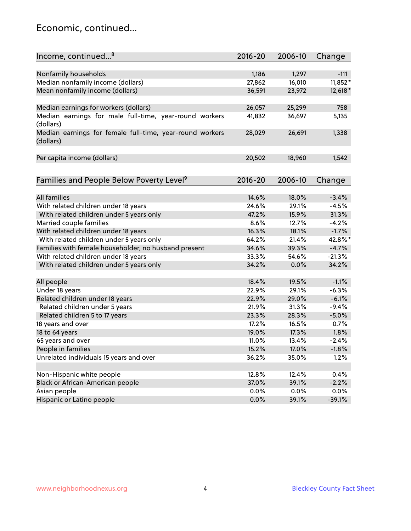### Economic, continued...

| Income, continued <sup>8</sup>                                        | $2016 - 20$ | 2006-10 | Change    |
|-----------------------------------------------------------------------|-------------|---------|-----------|
|                                                                       |             |         |           |
| Nonfamily households                                                  | 1,186       | 1,297   | $-111$    |
| Median nonfamily income (dollars)                                     | 27,862      | 16,010  | $11,852*$ |
| Mean nonfamily income (dollars)                                       | 36,591      | 23,972  | 12,618 *  |
| Median earnings for workers (dollars)                                 | 26,057      | 25,299  | 758       |
| Median earnings for male full-time, year-round workers                | 41,832      | 36,697  | 5,135     |
| (dollars)                                                             |             |         |           |
| Median earnings for female full-time, year-round workers<br>(dollars) | 28,029      | 26,691  | 1,338     |
| Per capita income (dollars)                                           | 20,502      | 18,960  | 1,542     |
|                                                                       |             |         |           |
| Families and People Below Poverty Level <sup>9</sup>                  | 2016-20     | 2006-10 | Change    |
|                                                                       |             |         |           |
| <b>All families</b>                                                   | 14.6%       | 18.0%   | $-3.4%$   |
| With related children under 18 years                                  | 24.6%       | 29.1%   | $-4.5%$   |
| With related children under 5 years only                              | 47.2%       | 15.9%   | 31.3%     |
| Married couple families                                               | 8.6%        | 12.7%   | $-4.2%$   |
| With related children under 18 years                                  | 16.3%       | 18.1%   | $-1.7%$   |
| With related children under 5 years only                              | 64.2%       | 21.4%   | 42.8%*    |
| Families with female householder, no husband present                  | 34.6%       | 39.3%   | $-4.7%$   |
| With related children under 18 years                                  | 33.3%       | 54.6%   | $-21.3%$  |
| With related children under 5 years only                              | 34.2%       | 0.0%    | 34.2%     |
| All people                                                            | 18.4%       | 19.5%   | $-1.1%$   |
| Under 18 years                                                        | 22.9%       | 29.1%   | $-6.3%$   |
| Related children under 18 years                                       | 22.9%       | 29.0%   | $-6.1%$   |
| Related children under 5 years                                        | 21.9%       | 31.3%   | $-9.4%$   |
| Related children 5 to 17 years                                        | 23.3%       | 28.3%   | $-5.0%$   |
| 18 years and over                                                     | 17.2%       | 16.5%   | 0.7%      |
| 18 to 64 years                                                        | 19.0%       | 17.3%   | 1.8%      |
| 65 years and over                                                     | 11.0%       | 13.4%   | $-2.4%$   |
| People in families                                                    | 15.2%       | 17.0%   | $-1.8%$   |
| Unrelated individuals 15 years and over                               | 36.2%       | 35.0%   | 1.2%      |
|                                                                       |             |         |           |
| Non-Hispanic white people                                             | 12.8%       | 12.4%   | 0.4%      |
| Black or African-American people                                      | 37.0%       | 39.1%   | $-2.2%$   |
| Asian people                                                          | 0.0%        | $0.0\%$ | 0.0%      |
| Hispanic or Latino people                                             | 0.0%        | 39.1%   | $-39.1%$  |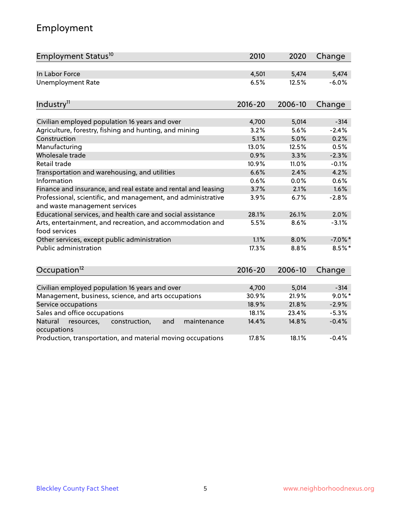# Employment

| Employment Status <sup>10</sup>                                                               | 2010        | 2020    | Change     |
|-----------------------------------------------------------------------------------------------|-------------|---------|------------|
| In Labor Force                                                                                | 4,501       | 5,474   | 5,474      |
| <b>Unemployment Rate</b>                                                                      | 6.5%        | 12.5%   | $-6.0%$    |
|                                                                                               |             |         |            |
| Industry <sup>11</sup>                                                                        | $2016 - 20$ | 2006-10 | Change     |
|                                                                                               |             |         |            |
| Civilian employed population 16 years and over                                                | 4,700       | 5,014   | $-314$     |
| Agriculture, forestry, fishing and hunting, and mining                                        | 3.2%        | 5.6%    | $-2.4%$    |
| Construction                                                                                  | 5.1%        | 5.0%    | 0.2%       |
| Manufacturing                                                                                 | 13.0%       | 12.5%   | 0.5%       |
| Wholesale trade                                                                               | 0.9%        | 3.3%    | $-2.3%$    |
| Retail trade                                                                                  | 10.9%       | 11.0%   | $-0.1%$    |
| Transportation and warehousing, and utilities                                                 | 6.6%        | 2.4%    | 4.2%       |
| Information                                                                                   | 0.6%        | 0.0%    | 0.6%       |
| Finance and insurance, and real estate and rental and leasing                                 | 3.7%        | 2.1%    | 1.6%       |
| Professional, scientific, and management, and administrative<br>and waste management services | 3.9%        | 6.7%    | $-2.8%$    |
| Educational services, and health care and social assistance                                   | 28.1%       | 26.1%   | 2.0%       |
| Arts, entertainment, and recreation, and accommodation and<br>food services                   | 5.5%        | 8.6%    | $-3.1%$    |
| Other services, except public administration                                                  | 1.1%        | 8.0%    | $-7.0\%$ * |
| <b>Public administration</b>                                                                  | 17.3%       | 8.8%    | $8.5\%$ *  |
| Occupation <sup>12</sup>                                                                      | $2016 - 20$ | 2006-10 | Change     |
|                                                                                               |             |         |            |
| Civilian employed population 16 years and over                                                | 4,700       | 5,014   | $-314$     |
| Management, business, science, and arts occupations                                           | 30.9%       | 21.9%   | $9.0\%$ *  |
| Service occupations                                                                           | 18.9%       | 21.8%   | $-2.9%$    |
| Sales and office occupations                                                                  | 18.1%       | 23.4%   | $-5.3%$    |
| Natural<br>construction,<br>and<br>maintenance<br>resources,<br>occupations                   | 14.4%       | 14.8%   | $-0.4%$    |
| Production, transportation, and material moving occupations                                   | 17.8%       | 18.1%   | $-0.4%$    |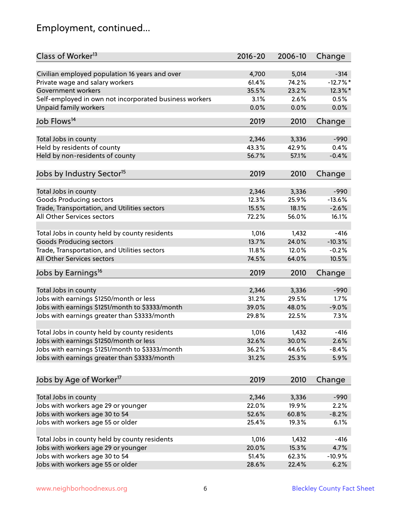# Employment, continued...

| Class of Worker <sup>13</sup>                          | $2016 - 20$ | 2006-10 | Change     |
|--------------------------------------------------------|-------------|---------|------------|
| Civilian employed population 16 years and over         | 4,700       | 5,014   | $-314$     |
| Private wage and salary workers                        | 61.4%       | 74.2%   | $-12.7%$ * |
| Government workers                                     | 35.5%       | 23.2%   | 12.3%*     |
| Self-employed in own not incorporated business workers | 3.1%        | 2.6%    | 0.5%       |
| Unpaid family workers                                  | 0.0%        | 0.0%    | 0.0%       |
| Job Flows <sup>14</sup>                                | 2019        | 2010    | Change     |
|                                                        |             |         |            |
| Total Jobs in county                                   | 2,346       | 3,336   | $-990$     |
| Held by residents of county                            | 43.3%       | 42.9%   | 0.4%       |
| Held by non-residents of county                        | 56.7%       | 57.1%   | $-0.4%$    |
|                                                        |             |         |            |
| Jobs by Industry Sector <sup>15</sup>                  | 2019        | 2010    | Change     |
| Total Jobs in county                                   | 2,346       | 3,336   | $-990$     |
| Goods Producing sectors                                | 12.3%       | 25.9%   | $-13.6%$   |
| Trade, Transportation, and Utilities sectors           | 15.5%       | 18.1%   | $-2.6%$    |
| All Other Services sectors                             | 72.2%       | 56.0%   | 16.1%      |
|                                                        |             |         |            |
| Total Jobs in county held by county residents          | 1,016       | 1,432   | $-416$     |
| <b>Goods Producing sectors</b>                         | 13.7%       | 24.0%   | $-10.3%$   |
| Trade, Transportation, and Utilities sectors           | 11.8%       | 12.0%   | $-0.2%$    |
| All Other Services sectors                             | 74.5%       | 64.0%   | 10.5%      |
| Jobs by Earnings <sup>16</sup>                         | 2019        | 2010    | Change     |
|                                                        |             |         |            |
| Total Jobs in county                                   | 2,346       | 3,336   | $-990$     |
| Jobs with earnings \$1250/month or less                | 31.2%       | 29.5%   | 1.7%       |
| Jobs with earnings \$1251/month to \$3333/month        | 39.0%       | 48.0%   | $-9.0%$    |
| Jobs with earnings greater than \$3333/month           | 29.8%       | 22.5%   | 7.3%       |
|                                                        |             |         |            |
| Total Jobs in county held by county residents          | 1,016       | 1,432   | $-416$     |
| Jobs with earnings \$1250/month or less                | 32.6%       | 30.0%   | 2.6%       |
| Jobs with earnings \$1251/month to \$3333/month        | 36.2%       | 44.6%   | $-8.4\%$   |
| Jobs with earnings greater than \$3333/month           | 31.2%       | 25.3%   | 5.9%       |
|                                                        |             |         |            |
| Jobs by Age of Worker <sup>17</sup>                    | 2019        | 2010    | Change     |
|                                                        |             |         |            |
| Total Jobs in county                                   | 2,346       | 3,336   | $-990$     |
| Jobs with workers age 29 or younger                    | 22.0%       | 19.9%   | 2.2%       |
| Jobs with workers age 30 to 54                         | 52.6%       | 60.8%   | $-8.2%$    |
| Jobs with workers age 55 or older                      | 25.4%       | 19.3%   | 6.1%       |
| Total Jobs in county held by county residents          | 1,016       | 1,432   | $-416$     |
| Jobs with workers age 29 or younger                    | 20.0%       | 15.3%   | 4.7%       |
| Jobs with workers age 30 to 54                         | 51.4%       | 62.3%   | $-10.9%$   |
| Jobs with workers age 55 or older                      | 28.6%       | 22.4%   | 6.2%       |
|                                                        |             |         |            |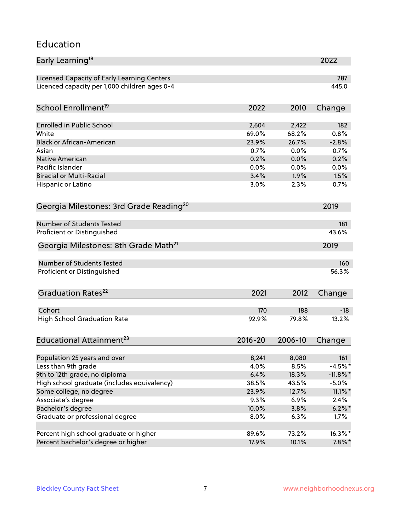#### Education

| Early Learning <sup>18</sup>                        |             |         | 2022        |
|-----------------------------------------------------|-------------|---------|-------------|
| Licensed Capacity of Early Learning Centers         |             |         | 287         |
| Licenced capacity per 1,000 children ages 0-4       |             |         | 445.0       |
| School Enrollment <sup>19</sup>                     | 2022        | 2010    | Change      |
|                                                     |             |         |             |
| <b>Enrolled in Public School</b>                    | 2,604       | 2,422   | 182         |
| White                                               | 69.0%       | 68.2%   | 0.8%        |
| <b>Black or African-American</b>                    | 23.9%       | 26.7%   | $-2.8%$     |
| Asian                                               | 0.7%        | 0.0%    | 0.7%        |
| <b>Native American</b>                              | 0.2%        | 0.0%    | 0.2%        |
| Pacific Islander                                    | 0.0%        | 0.0%    | 0.0%        |
| <b>Biracial or Multi-Racial</b>                     | 3.4%        | 1.9%    | 1.5%        |
| Hispanic or Latino                                  | 3.0%        | 2.3%    | 0.7%        |
| Georgia Milestones: 3rd Grade Reading <sup>20</sup> |             |         | 2019        |
|                                                     |             |         |             |
| Number of Students Tested                           |             |         | 181         |
| Proficient or Distinguished                         |             |         | 43.6%       |
| Georgia Milestones: 8th Grade Math <sup>21</sup>    |             |         | 2019        |
| Number of Students Tested                           |             |         | 160         |
| Proficient or Distinguished                         |             |         | 56.3%       |
| Graduation Rates <sup>22</sup>                      | 2021        | 2012    | Change      |
|                                                     |             |         |             |
| Cohort                                              | 170         | 188     | $-18$       |
| <b>High School Graduation Rate</b>                  | 92.9%       | 79.8%   | 13.2%       |
| Educational Attainment <sup>23</sup>                | $2016 - 20$ | 2006-10 | Change      |
|                                                     |             |         |             |
| Population 25 years and over                        | 8,241       | 8,080   | 161         |
| Less than 9th grade                                 | 4.0%        | 8.5%    | $-4.5%$ *   |
| 9th to 12th grade, no diploma                       | 6.4%        | 18.3%   | $-11.8\%$ * |
| High school graduate (includes equivalency)         | 38.5%       | 43.5%   | $-5.0%$     |
| Some college, no degree                             | 23.9%       | 12.7%   | $11.1\%$ *  |
| Associate's degree                                  | 9.3%        | 6.9%    | 2.4%        |
| Bachelor's degree                                   | 10.0%       | 3.8%    | $6.2\%$ *   |
| Graduate or professional degree                     | 8.0%        | 6.3%    | 1.7%        |
| Percent high school graduate or higher              | 89.6%       | 73.2%   | 16.3%*      |
| Percent bachelor's degree or higher                 | 17.9%       | 10.1%   | $7.8\%$ *   |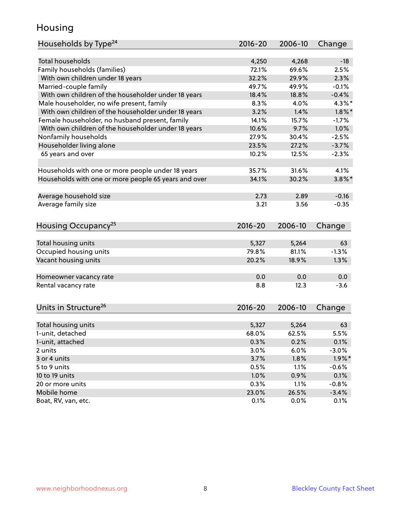### Housing

| Households by Type <sup>24</sup>                     | 2016-20     | 2006-10 | Change    |
|------------------------------------------------------|-------------|---------|-----------|
|                                                      |             |         |           |
| Total households                                     | 4,250       | 4,268   | $-18$     |
| Family households (families)                         | 72.1%       | 69.6%   | 2.5%      |
| With own children under 18 years                     | 32.2%       | 29.9%   | 2.3%      |
| Married-couple family                                | 49.7%       | 49.9%   | $-0.1%$   |
| With own children of the householder under 18 years  | 18.4%       | 18.8%   | $-0.4%$   |
| Male householder, no wife present, family            | 8.3%        | 4.0%    | $4.3\%$ * |
| With own children of the householder under 18 years  | 3.2%        | 1.4%    | $1.8\%$ * |
| Female householder, no husband present, family       | 14.1%       | 15.7%   | $-1.7%$   |
| With own children of the householder under 18 years  | 10.6%       | 9.7%    | 1.0%      |
| Nonfamily households                                 | 27.9%       | 30.4%   | $-2.5%$   |
| Householder living alone                             | 23.5%       | 27.2%   | $-3.7%$   |
| 65 years and over                                    | 10.2%       | 12.5%   | $-2.3%$   |
| Households with one or more people under 18 years    | 35.7%       | 31.6%   | 4.1%      |
| Households with one or more people 65 years and over | 34.1%       | 30.2%   | $3.8\%$ * |
|                                                      |             |         |           |
| Average household size                               | 2.73        | 2.89    | $-0.16$   |
| Average family size                                  | 3.21        | 3.56    | $-0.35$   |
| Housing Occupancy <sup>25</sup>                      | $2016 - 20$ | 2006-10 | Change    |
|                                                      |             |         |           |
| Total housing units                                  | 5,327       | 5,264   | 63        |
| Occupied housing units                               | 79.8%       | 81.1%   | $-1.3%$   |
| Vacant housing units                                 | 20.2%       | 18.9%   | 1.3%      |
| Homeowner vacancy rate                               | 0.0         | 0.0     | 0.0       |
| Rental vacancy rate                                  | 8.8         | 12.3    | $-3.6$    |
| Units in Structure <sup>26</sup>                     | 2016-20     | 2006-10 |           |
|                                                      |             |         | Change    |
| Total housing units                                  | 5,327       | 5,264   | 63        |
| 1-unit, detached                                     | 68.0%       | 62.5%   | 5.5%      |
| 1-unit, attached                                     | 0.3%        | 0.2%    | 0.1%      |
| 2 units                                              | 3.0%        | 6.0%    | $-3.0%$   |
| 3 or 4 units                                         | 3.7%        | 1.8%    | $1.9\%$ * |
| 5 to 9 units                                         | 0.5%        | 1.1%    | $-0.6%$   |
| 10 to 19 units                                       | 1.0%        | 0.9%    | 0.1%      |
| 20 or more units                                     | 0.3%        | 1.1%    | $-0.8%$   |
| Mobile home                                          | 23.0%       | 26.5%   | $-3.4%$   |
| Boat, RV, van, etc.                                  | 0.1%        | $0.0\%$ | 0.1%      |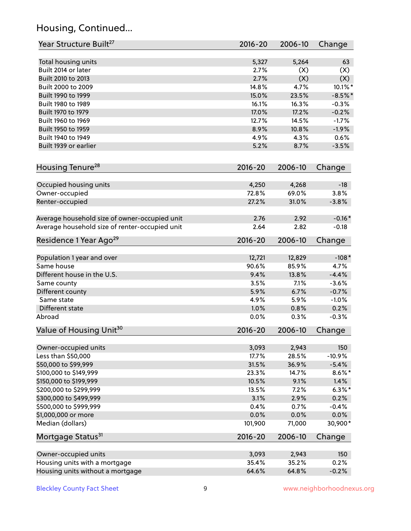# Housing, Continued...

| Year Structure Built <sup>27</sup>             | 2016-20     | 2006-10         | Change          |
|------------------------------------------------|-------------|-----------------|-----------------|
| Total housing units                            | 5,327       | 5,264           | 63              |
| Built 2014 or later                            | 2.7%        | (X)             | (X)             |
| Built 2010 to 2013                             | 2.7%        | (X)             | (X)             |
| Built 2000 to 2009                             | 14.8%       | 4.7%            | 10.1%*          |
| Built 1990 to 1999                             | 15.0%       | 23.5%           | $-8.5%$ *       |
| Built 1980 to 1989                             | 16.1%       | 16.3%           | $-0.3%$         |
| Built 1970 to 1979                             | 17.0%       | 17.2%           | $-0.2%$         |
| Built 1960 to 1969                             | 12.7%       | 14.5%           | $-1.7%$         |
| Built 1950 to 1959                             | 8.9%        | 10.8%           | $-1.9%$         |
| Built 1940 to 1949                             | 4.9%        | 4.3%            | 0.6%            |
| Built 1939 or earlier                          | 5.2%        | 8.7%            | $-3.5%$         |
| Housing Tenure <sup>28</sup>                   | $2016 - 20$ | 2006-10         | Change          |
|                                                |             |                 |                 |
| Occupied housing units                         | 4,250       | 4,268           | $-18$           |
| Owner-occupied                                 | 72.8%       | 69.0%           | 3.8%            |
| Renter-occupied                                | 27.2%       | 31.0%           | $-3.8%$         |
| Average household size of owner-occupied unit  | 2.76        | 2.92            | $-0.16*$        |
| Average household size of renter-occupied unit | 2.64        | 2.82            | $-0.18$         |
| Residence 1 Year Ago <sup>29</sup>             | $2016 - 20$ | 2006-10         | Change          |
|                                                | 12,721      |                 | $-108*$         |
| Population 1 year and over<br>Same house       | 90.6%       | 12,829<br>85.9% | 4.7%            |
| Different house in the U.S.                    | 9.4%        | 13.8%           | $-4.4%$         |
|                                                | 3.5%        | 7.1%            | $-3.6%$         |
| Same county                                    | 5.9%        | 6.7%            | $-0.7%$         |
| Different county<br>Same state                 | 4.9%        | 5.9%            | $-1.0%$         |
| Different state                                | 1.0%        | 0.8%            |                 |
| Abroad                                         | 0.0%        | 0.3%            | 0.2%<br>$-0.3%$ |
|                                                |             |                 |                 |
| Value of Housing Unit <sup>30</sup>            | 2016-20     | 2006-10         | Change          |
| Owner-occupied units                           | 3,093       | 2,943           | 150             |
| Less than \$50,000                             | 17.7%       | 28.5%           | $-10.9%$        |
| \$50,000 to \$99,999                           | 31.5%       | 36.9%           | $-5.4%$         |
| \$100,000 to \$149,999                         | 23.3%       | 14.7%           | $8.6\%$ *       |
| \$150,000 to \$199,999                         | 10.5%       | 9.1%            | 1.4%            |
| \$200,000 to \$299,999                         | 13.5%       | 7.2%            | $6.3\%$ *       |
| \$300,000 to \$499,999                         | 3.1%        | 2.9%            | 0.2%            |
| \$500,000 to \$999,999                         | 0.4%        | 0.7%            | $-0.4%$         |
| \$1,000,000 or more                            | 0.0%        | 0.0%            | 0.0%            |
| Median (dollars)                               | 101,900     | 71,000          | 30,900*         |
| Mortgage Status <sup>31</sup>                  | $2016 - 20$ | 2006-10         | Change          |
| Owner-occupied units                           | 3,093       | 2,943           | 150             |
| Housing units with a mortgage                  | 35.4%       | 35.2%           | 0.2%            |
| Housing units without a mortgage               | 64.6%       | 64.8%           | $-0.2%$         |
|                                                |             |                 |                 |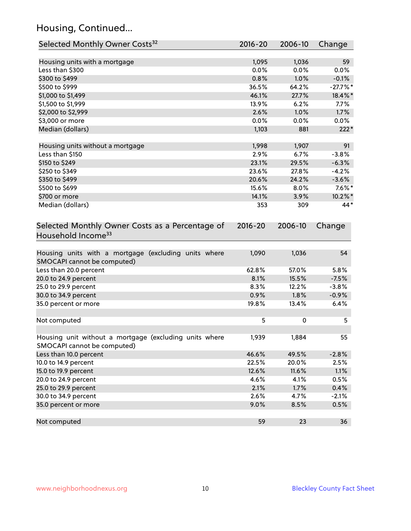# Housing, Continued...

| Selected Monthly Owner Costs <sup>32</sup>                                            | 2016-20     | 2006-10   | Change     |
|---------------------------------------------------------------------------------------|-------------|-----------|------------|
| Housing units with a mortgage                                                         | 1,095       | 1,036     | 59         |
| Less than \$300                                                                       | 0.0%        | 0.0%      | 0.0%       |
| \$300 to \$499                                                                        | 0.8%        | 1.0%      | $-0.1%$    |
| \$500 to \$999                                                                        | 36.5%       | 64.2%     | $-27.7%$ * |
| \$1,000 to \$1,499                                                                    | 46.1%       | 27.7%     | 18.4%*     |
| \$1,500 to \$1,999                                                                    | 13.9%       | 6.2%      | 7.7%       |
| \$2,000 to \$2,999                                                                    | 2.6%        | 1.0%      | 1.7%       |
| \$3,000 or more                                                                       | 0.0%        | 0.0%      | $0.0\%$    |
| Median (dollars)                                                                      | 1,103       | 881       | $222*$     |
|                                                                                       |             |           |            |
| Housing units without a mortgage                                                      | 1,998       | 1,907     | 91         |
| Less than \$150                                                                       | 2.9%        | 6.7%      | $-3.8%$    |
| \$150 to \$249                                                                        | 23.1%       | 29.5%     | $-6.3%$    |
| \$250 to \$349                                                                        | 23.6%       | 27.8%     | $-4.2%$    |
| \$350 to \$499                                                                        | 20.6%       | 24.2%     | $-3.6%$    |
| \$500 to \$699                                                                        | 15.6%       | 8.0%      | $7.6\%$ *  |
| \$700 or more                                                                         | 14.1%       | 3.9%      | 10.2%*     |
| Median (dollars)                                                                      | 353         | 309       | 44*        |
| Selected Monthly Owner Costs as a Percentage of<br>Household Income <sup>33</sup>     | $2016 - 20$ | 2006-10   | Change     |
| Housing units with a mortgage (excluding units where<br>SMOCAPI cannot be computed)   | 1,090       | 1,036     | 54         |
| Less than 20.0 percent                                                                | 62.8%       | 57.0%     | 5.8%       |
| 20.0 to 24.9 percent                                                                  | 8.1%        | 15.5%     | $-7.5%$    |
| 25.0 to 29.9 percent                                                                  | 8.3%        | 12.2%     | $-3.8%$    |
| 30.0 to 34.9 percent                                                                  | 0.9%        | 1.8%      | $-0.9%$    |
| 35.0 percent or more                                                                  | 19.8%       | 13.4%     | 6.4%       |
| Not computed                                                                          | 5           | $\pmb{0}$ | 5          |
| Housing unit without a mortgage (excluding units where<br>SMOCAPI cannot be computed) | 1,939       | 1,884     | 55         |
| Less than 10.0 percent                                                                | 46.6%       | 49.5%     | $-2.8%$    |
| 10.0 to 14.9 percent                                                                  | 22.5%       | 20.0%     | 2.5%       |
| 15.0 to 19.9 percent                                                                  | 12.6%       | 11.6%     | 1.1%       |
| 20.0 to 24.9 percent                                                                  | 4.6%        | 4.1%      | 0.5%       |
| 25.0 to 29.9 percent                                                                  | 2.1%        | 1.7%      | 0.4%       |
| 30.0 to 34.9 percent                                                                  | 2.6%        | 4.7%      | $-2.1%$    |
| 35.0 percent or more                                                                  | 9.0%        | 8.5%      | 0.5%       |
| Not computed                                                                          | 59          | 23        | 36         |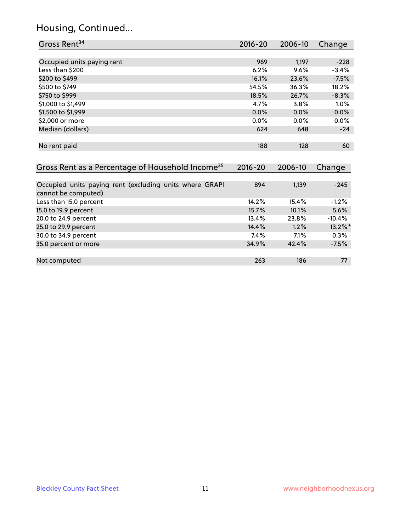# Housing, Continued...

| Gross Rent <sup>34</sup>                                                       | 2016-20     | $2006 - 10$ | Change   |
|--------------------------------------------------------------------------------|-------------|-------------|----------|
|                                                                                |             |             |          |
| Occupied units paying rent                                                     | 969         | 1,197       | $-228$   |
| Less than \$200                                                                | 6.2%        | 9.6%        | $-3.4%$  |
| \$200 to \$499                                                                 | 16.1%       | 23.6%       | $-7.5%$  |
| \$500 to \$749                                                                 | 54.5%       | 36.3%       | 18.2%    |
| \$750 to \$999                                                                 | 18.5%       | 26.7%       | $-8.3%$  |
| \$1,000 to \$1,499                                                             | 4.7%        | 3.8%        | 1.0%     |
| \$1,500 to \$1,999                                                             | 0.0%        | 0.0%        | 0.0%     |
| \$2,000 or more                                                                | 0.0%        | 0.0%        | 0.0%     |
| Median (dollars)                                                               | 624         | 648         | $-24$    |
|                                                                                |             |             |          |
| No rent paid                                                                   | 188         | 128         | 60       |
|                                                                                |             |             |          |
| Gross Rent as a Percentage of Household Income <sup>35</sup>                   | $2016 - 20$ | 2006-10     | Change   |
|                                                                                |             |             |          |
| Occupied units paying rent (excluding units where GRAPI<br>cannot be computed) | 894         | 1,139       | $-245$   |
| Less than 15.0 percent                                                         | 14.2%       | 15.4%       | $-1.2%$  |
| 15.0 to 19.9 percent                                                           | 15.7%       | 10.1%       | 5.6%     |
| 20.0 to 24.9 percent                                                           | 13.4%       | 23.8%       | $-10.4%$ |
| 25.0 to 29.9 percent                                                           | 14.4%       | 1.2%        | 13.2%*   |
| 30.0 to 34.9 percent                                                           | 7.4%        | 7.1%        | 0.3%     |
| 35.0 percent or more                                                           | 34.9%       | 42.4%       | $-7.5%$  |
|                                                                                |             |             |          |

Not computed 263 186 77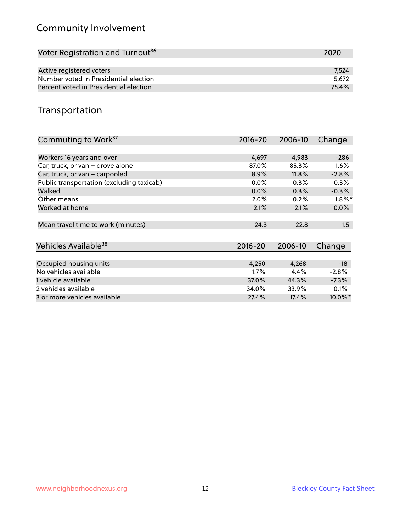# Community Involvement

| Voter Registration and Turnout <sup>36</sup> | 2020  |
|----------------------------------------------|-------|
|                                              |       |
| Active registered voters                     | 7.524 |
| Number voted in Presidential election        | 5.672 |
| Percent voted in Presidential election       | 75.4% |

### Transportation

| Commuting to Work <sup>37</sup>           | 2016-20     | 2006-10 | Change                |
|-------------------------------------------|-------------|---------|-----------------------|
|                                           |             |         |                       |
| Workers 16 years and over                 | 4,697       | 4,983   | $-286$                |
| Car, truck, or van - drove alone          | 87.0%       | 85.3%   | 1.6%                  |
| Car, truck, or van - carpooled            | 8.9%        | 11.8%   | $-2.8%$               |
| Public transportation (excluding taxicab) | $0.0\%$     | $0.3\%$ | $-0.3%$               |
| Walked                                    | $0.0\%$     | 0.3%    | $-0.3%$               |
| Other means                               | 2.0%        | 0.2%    | $1.8\%$ *             |
| Worked at home                            | 2.1%        | 2.1%    | $0.0\%$               |
|                                           |             |         |                       |
| Mean travel time to work (minutes)        | 24.3        | 22.8    | 1.5                   |
|                                           |             |         |                       |
| Vehicles Available <sup>38</sup>          | $2016 - 20$ | 2006-10 | Change                |
|                                           |             |         |                       |
| Occupied housing units                    | 4,250       | 4,268   | $-18$                 |
| No vehicles available                     | $1.7\%$     | 4.4%    | $-2.8%$               |
| 1 vehicle available                       | 37.0%       | 44.3%   | $-7.3%$               |
| 2 vehicles available                      | 34.0%       | 33.9%   | $0.1\%$               |
| 3 or more vehicles available              | 27.4%       | 17.4%   | $10.0\%$ <sup>*</sup> |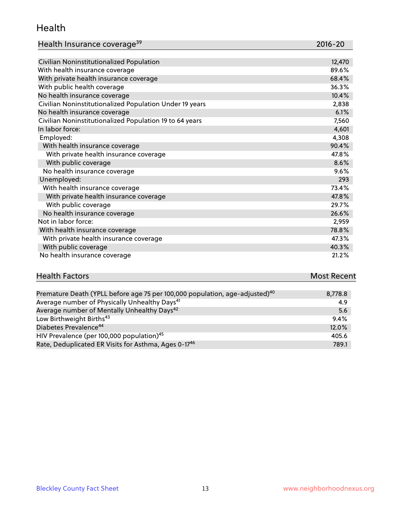#### Health

| Health Insurance coverage <sup>39</sup> | 2016-20 |
|-----------------------------------------|---------|
|-----------------------------------------|---------|

| Civilian Noninstitutionalized Population                | 12,470 |
|---------------------------------------------------------|--------|
| With health insurance coverage                          | 89.6%  |
| With private health insurance coverage                  | 68.4%  |
| With public health coverage                             | 36.3%  |
| No health insurance coverage                            | 10.4%  |
| Civilian Noninstitutionalized Population Under 19 years | 2,838  |
| No health insurance coverage                            | 6.1%   |
| Civilian Noninstitutionalized Population 19 to 64 years | 7,560  |
| In labor force:                                         | 4,601  |
| Employed:                                               | 4,308  |
| With health insurance coverage                          | 90.4%  |
| With private health insurance coverage                  | 47.8%  |
| With public coverage                                    | 8.6%   |
| No health insurance coverage                            | 9.6%   |
| Unemployed:                                             | 293    |
| With health insurance coverage                          | 73.4%  |
| With private health insurance coverage                  | 47.8%  |
| With public coverage                                    | 29.7%  |
| No health insurance coverage                            | 26.6%  |
| Not in labor force:                                     | 2,959  |
| With health insurance coverage                          | 78.8%  |
| With private health insurance coverage                  | 47.3%  |
| With public coverage                                    | 40.3%  |
| No health insurance coverage                            | 21.2%  |

# **Health Factors Most Recent** And The Control of the Control of The Control of The Control of The Control of The Control of The Control of The Control of The Control of The Control of The Control of The Control of The Contr

| Premature Death (YPLL before age 75 per 100,000 population, age-adjusted) <sup>40</sup> | 8,778.8 |
|-----------------------------------------------------------------------------------------|---------|
| Average number of Physically Unhealthy Days <sup>41</sup>                               | 4.9     |
| Average number of Mentally Unhealthy Days <sup>42</sup>                                 | 5.6     |
| Low Birthweight Births <sup>43</sup>                                                    | 9.4%    |
| Diabetes Prevalence <sup>44</sup>                                                       | 12.0%   |
| HIV Prevalence (per 100,000 population) <sup>45</sup>                                   | 405.6   |
| Rate, Deduplicated ER Visits for Asthma, Ages 0-17 <sup>46</sup>                        | 789.1   |